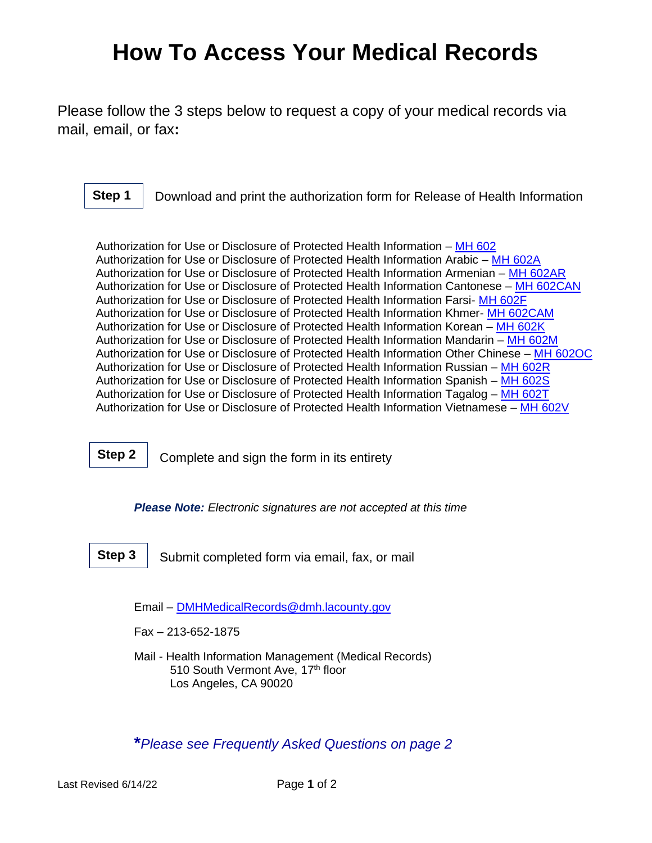## **How To Access Your Medical Records**

Please follow the 3 steps below to request a copy of your medical records via mail, email, or fax**:**

Download and print the authorization form for Release of Health Information **Step 1**

Authorization for Use or Disclosure of Protected Health Information – [MH 602](http://file.lacounty.gov/SDSInter/dmh/1041331_500_01_Att1.pdf) Authorization for Use or Disclosure of Protected Health Information Arabic – [MH 602A](http://file.lacounty.gov/SDSInter/dmh/1069676_MH602AArabic9-16.pdf) Authorization for Use or Disclosure of Protected Health Information Armenian – [MH 602AR](http://file.lacounty.gov/SDSInter/dmh/1069675_MH602ARArmenian9-16.pdf) Authorization for Use or Disclosure of Protected Health Information Cantonese – [MH 602CAN](http://file.lacounty.gov/SDSInter/dmh/1069673_MH602CANCantonese9-16.pdf) Authorization for Use or Disclosure of Protected Health Information Farsi- [MH 602F](http://file.lacounty.gov/SDSInter/dmh/1069672_MH602FFarsi9-16.pdf) Authorization for Use or Disclosure of Protected Health Information Khmer- [MH 602CAM](http://file.lacounty.gov/SDSInter/dmh/1069674_MH602CAMCambodian9-16.pdf) Authorization for Use or Disclosure of Protected Health Information Korean – [MH 602K](http://file.lacounty.gov/SDSInter/dmh/1069671_MH602KKorean9-16.pdf) Authorization for Use or Disclosure of Protected Health Information Mandarin – [MH 602M](http://file.lacounty.gov/SDSInter/dmh/1069670_MH602MMandarin9-16.pdf) Authorization for Use or Disclosure of Protected Health Information Other Chinese – [MH 602OC](http://file.lacounty.gov/SDSInter/dmh/1069669_MH602OCOtherChinese9-16.pdf) Authorization for Use or Disclosure of Protected Health Information Russian – [MH 602R](http://file.lacounty.gov/SDSInter/dmh/1069668_MH602RRussian9-16.pdf) Authorization for Use or Disclosure of Protected Health Information Spanish – [MH 602S](http://file.lacounty.gov/SDSInter/dmh/1069678_MH602SSpanish9-16.pdf) Authorization for Use or Disclosure of Protected Health Information Tagalog – [MH 602T](http://file.lacounty.gov/SDSInter/dmh/1069667_MH602TTagalog9-16.pdf) Authorization for Use or Disclosure of Protected Health Information Vietnamese – [MH 602V](http://file.lacounty.gov/SDSInter/dmh/1069677_MH602VVietnamese9-16.pdf)

Complete and sign the form in its entirety **Step 2**

*Please Note: Electronic signatures are not accepted at this time*

Submit completed form via email, fax, or mail **Step 3**

Email – [DMHMedicalRecords@dmh.lacounty.gov](mailto:DMHMedicalRecords@dmh.lacounty.gov)

Fax – 213-652-1875

Mail - Health Information Management (Medical Records) 510 South Vermont Ave, 17th floor Los Angeles, CA 90020

**\****Please see Frequently Asked Questions on page 2*

Last Revised 6/14/22 Page **1** of 2